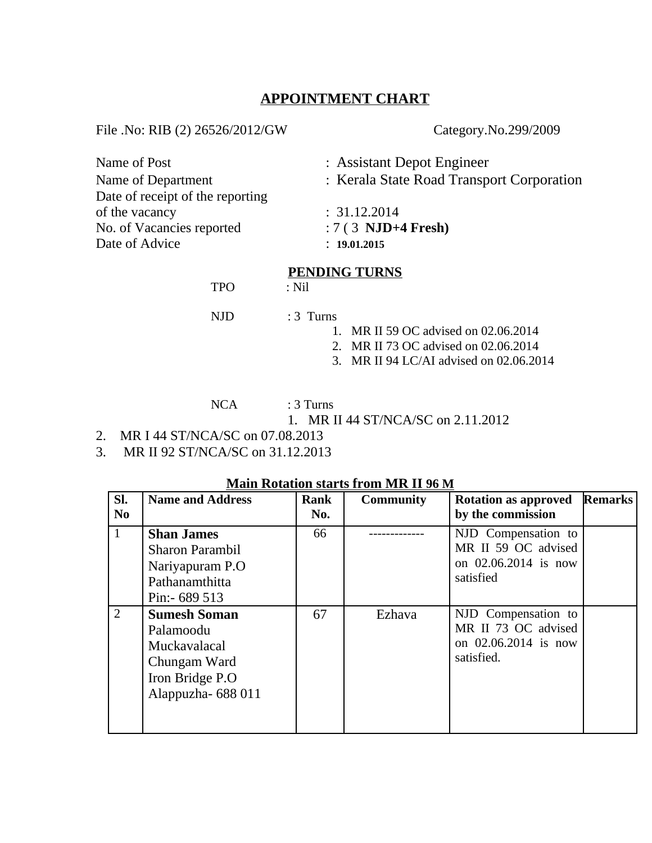## **APPOINTMENT CHART**

File .No: RIB (2) 26526/2012/GW Category.No.299/2009

| Name of Post                     | : Assistant Depot Engineer                |  |  |
|----------------------------------|-------------------------------------------|--|--|
| Name of Department               | : Kerala State Road Transport Corporation |  |  |
| Date of receipt of the reporting |                                           |  |  |
| of the vacancy                   | : 31.12.2014                              |  |  |
| No. of Vacancies reported        | : $7(3 \text{ NJD} + 4 \text{ Fresh})$    |  |  |
| Date of Advice                   | : 19.01.2015                              |  |  |
|                                  |                                           |  |  |

## **PENDING TURNS**

TPO : Nil

NJD : 3Turns

- 1. MR II 59 OC advised on 02.06.2014
- 
- 3. MR II 94 LC/AI advised on 02.06.2014

NCA : 3 Turns

1. MR II 44 ST/NCA/SC on 2.11.2012

2. MR I 44 ST/NCA/SC on 07.08.2013

3. MR II 92 ST/NCA/SC on 31.12.2013

## **Main Rotation starts from MR II 96 M**

| SI.            | <b>Name and Address</b>                                                                                  | Rank | <b>Community</b> | <b>Rotation as approved</b> Remarks                                              |  |
|----------------|----------------------------------------------------------------------------------------------------------|------|------------------|----------------------------------------------------------------------------------|--|
| N <sub>0</sub> |                                                                                                          | No.  |                  | by the commission                                                                |  |
| 1              | <b>Shan James</b><br>Sharon Parambil<br>Nariyapuram P.O<br>Pathanamthitta<br>Pin: - 689 513              | 66   |                  | NJD Compensation to<br>MR II 59 OC advised<br>on 02.06.2014 is now<br>satisfied  |  |
| $\overline{2}$ | <b>Sumesh Soman</b><br>Palamoodu<br>Muckavalacal<br>Chungam Ward<br>Iron Bridge P.O<br>Alappuzha-688 011 | 67   | Ezhava           | NJD Compensation to<br>MR II 73 OC advised<br>on 02.06.2014 is now<br>satisfied. |  |

- - 2. MR II 73 OC advised on 02.06.2014
	-